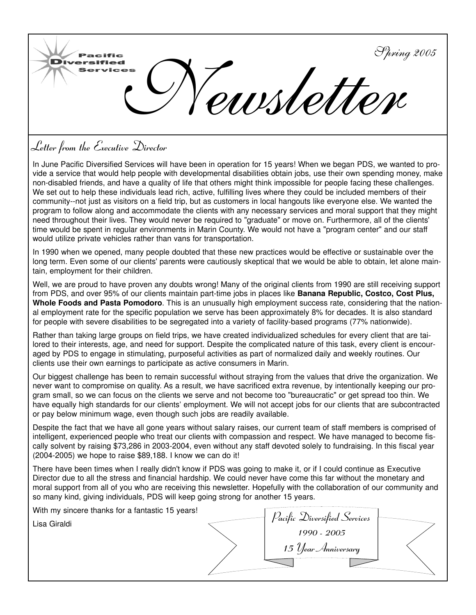

# **Letter from the Executive Director**

In June Pacific Diversified Services will have been in operation for 15 years! When we began PDS, we wanted to provide a service that would help people with developmental disabilities obtain jobs, use their own spending money, make non-disabled friends, and have a quality of life that others might think impossible for people facing these challenges. We set out to help these individuals lead rich, active, fulfilling lives where they could be included members of their community--not just as visitors on a field trip, but as customers in local hangouts like everyone else. We wanted the program to follow along and accommodate the clients with any necessary services and moral support that they might need throughout their lives. They would never be required to "graduate" or move on. Furthermore, all of the clients' time would be spent in regular environments in Marin County. We would not have a "program center" and our staff would utilize private vehicles rather than vans for transportation.

In 1990 when we opened, many people doubted that these new practices would be effective or sustainable over the long term. Even some of our clients' parents were cautiously skeptical that we would be able to obtain, let alone maintain, employment for their children.

Well, we are proud to have proven any doubts wrong! Many of the original clients from 1990 are still receiving support from PDS, and over 95% of our clients maintain part-time jobs in places like **Banana Republic, Costco, Cost Plus, Whole Foods and Pasta Pomodoro**. This is an unusually high employment success rate, considering that the national employment rate for the specific population we serve has been approximately 8% for decades. It is also standard for people with severe disabilities to be segregated into a variety of facility-based programs (77% nationwide).

Rather than taking large groups on field trips, we have created individualized schedules for every client that are tailored to their interests, age, and need for support. Despite the complicated nature of this task, every client is encouraged by PDS to engage in stimulating, purposeful activities as part of normalized daily and weekly routines. Our clients use their own earnings to participate as active consumers in Marin.

Our biggest challenge has been to remain successful without straying from the values that drive the organization. We never want to compromise on quality. As a result, we have sacrificed extra revenue, by intentionally keeping our program small, so we can focus on the clients we serve and not become too "bureaucratic" or get spread too thin. We have equally high standards for our clients' employment. We will not accept jobs for our clients that are subcontracted or pay below minimum wage, even though such jobs are readily available.

Despite the fact that we have all gone years without salary raises, our current team of staff members is comprised of intelligent, experienced people who treat our clients with compassion and respect. We have managed to become fiscally solvent by raising \$73,286 in 2003-2004, even without any staff devoted solely to fundraising. In this fiscal year (2004-2005) we hope to raise \$89,188. I know we can do it!

There have been times when I really didn't know if PDS was going to make it, or if I could continue as Executive Director due to all the stress and financial hardship. We could never have come this far without the monetary and moral support from all of you who are receiving this newsletter. Hopefully with the collaboration of our community and so many kind, giving individuals, PDS will keep going strong for another 15 years.

| With my sincere thanks for a fantastic 15 years! | Pacific Diversified Services |  |
|--------------------------------------------------|------------------------------|--|
| Lisa Giraldi                                     | 1990 - 2005                  |  |
|                                                  | 15 Year Anniversary          |  |
|                                                  |                              |  |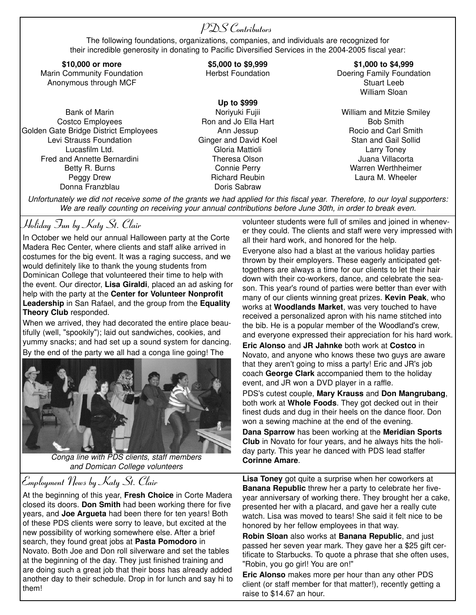#### **PDS Contributors**

The following foundations, organizations, companies, and individuals are recognized for their incredible generosity in donating to Pacific Diversified Services in the 2004-2005 fiscal year:

**\$10,000 or more** Marin Community Foundation Anonymous through MCF

Bank of Marin Costco Employees Golden Gate Bridge District Employees Levi Strauss Foundation Lucasfilm Ltd. Fred and Annette Bernardini Betty R. Burns Peggy Drew Donna Franzblau

#### **\$5,000 to \$9,999** Herbst Foundation

**Up to \$999**

Noriyuki Fujii Ron and Jo Ella Hart Ann Jessup Ginger and David Koel Gloria Mattioli Theresa Olson Connie Perry Richard Reubin Doris Sabraw

**\$1,000 to \$4,999** Doering Family Foundation Stuart Leeb William Sloan

William and Mitzie Smiley Bob Smith Rocio and Carl Smith Stan and Gail Sollid Larry Toney Juana Villacorta Warren Werthheimer Laura M. Wheeler

*Unfortunately we did not receive some of the grants we had applied for this fiscal year. Therefore, to our loyal supporters: We are really counting on receiving your annual contributions before June 30th, in order to break even.*

#### **Holiday Fun by Katy St. Clair**

In October we held our annual Halloween party at the Corte Madera Rec Center, where clients and staff alike arrived in costumes for the big event. It was a raging success, and we would definitely like to thank the young students from Dominican College that volunteered their time to help with the event. Our director, **Lisa Giraldi**, placed an ad asking for help with the party at the **Center for Volunteer Nonprofit Leadership** in San Rafael, and the group from the **Equality Theory Club** responded.

When we arrived, they had decorated the entire place beautifully (well, "spookily"); laid out sandwiches, cookies, and yummy snacks; and had set up a sound system for dancing. By the end of the party we all had a conga line going! The



*Conga line with PDS clients, staff members and Domican College volunteers*

### **Employment News by Katy St. Clair**

At the beginning of this year, **Fresh Choice** in Corte Madera closed its doors. **Don Smith** had been working there for five years, and **Joe Argueta** had been there for ten years! Both of these PDS clients were sorry to leave, but excited at the new possibility of working somewhere else. After a brief search, they found great jobs at **Pasta Pomodoro** in Novato. Both Joe and Don roll silverware and set the tables at the beginning of the day. They just finished training and are doing such a great job that their boss has already added another day to their schedule. Drop in for lunch and say hi to them!

volunteer students were full of smiles and joined in whenever they could. The clients and staff were very impressed with all their hard work, and honored for the help.

Everyone also had a blast at the various holiday parties thrown by their employers. These eagerly anticipated gettogethers are always a time for our clients to let their hair down with their co-workers, dance, and celebrate the season. This year's round of parties were better than ever with many of our clients winning great prizes. **Kevin Peak**, who works at **Woodlands Market**, was very touched to have received a personalized apron with his name stitched into the bib. He is a popular member of the Woodland's crew, and everyone expressed their appreciation for his hard work.

**Eric Alonso** and **JR Jahnke** both work at **Costco** in Novato, and anyone who knows these two guys are aware that they aren't going to miss a party! Eric and JR's job coach **George Clark** accompanied them to the holiday event, and JR won a DVD player in a raffle.

PDS's cutest couple, **Mary Krauss** and **Don Mangrubang**, both work at **Whole Foods**. They got decked out in their finest duds and dug in their heels on the dance floor. Don won a sewing machine at the end of the evening.

**Dana Sparrow** has been working at the **Meridian Sports Club** in Novato for four years, and he always hits the holiday party. This year he danced with PDS lead staffer **Corinne Amare**.

**Lisa Toney** got quite a surprise when her coworkers at **Banana Republic** threw her a party to celebrate her fiveyear anniversary of working there. They brought her a cake, presented her with a placard, and gave her a really cute watch. Lisa was moved to tears! She said it felt nice to be honored by her fellow employees in that way.

**Robin Sloan** also works at **Banana Republic**, and just passed her seven year mark. They gave her a \$25 gift certificate to Starbucks. To quote a phrase that she often uses, "Robin, you go girl! You are on!"

**Eric Alonso** makes more per hour than any other PDS client (or staff member for that matter!), recently getting a raise to \$14.67 an hour.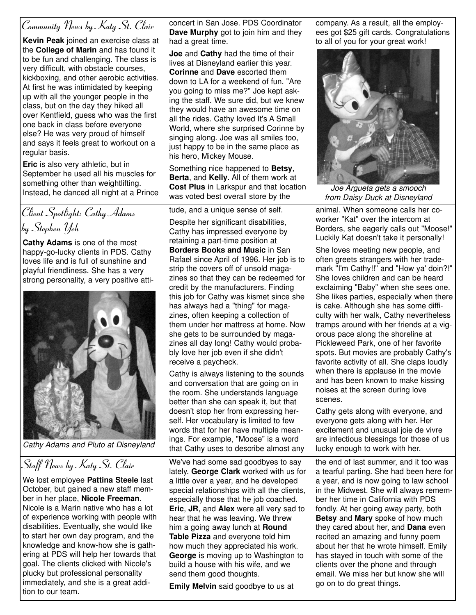## **Community News by Katy St. Clair**

**Kevin Peak** joined an exercise class at the **College of Marin** and has found it to be fun and challenging. The class is very difficult, with obstacle courses, kickboxing, and other aerobic activities. At first he was intimidated by keeping up with all the younger people in the class, but on the day they hiked all over Kentfield, guess who was the first one back in class before everyone else? He was very proud of himself and says it feels great to workout on a regular basis.

**Eric** is also very athletic, but in September he used all his muscles for something other than weightlifting. Instead, he danced all night at a Prince

**Client Spotlight: Cathy Adams by Stephen Yeh**

**Cathy Adams** is one of the most happy-go-lucky clients in PDS. Cathy loves life and is full of sunshine and playful friendliness. She has a very strong personality, a very positive atti-



*Cathy Adams and Pluto at Disneyland*

# **Staff News by Katy St. Clair**

We lost employee **Pattina Steele** last October, but gained a new staff member in her place, **Nicole Freeman**. Nicole is a Marin native who has a lot of experience working with people with disabilities. Eventually, she would like to start her own day program, and the knowledge and know-how she is gathering at PDS will help her towards that goal. The clients clicked with Nicole's plucky but professional personality immediately, and she is a great addition to our team.

concert in San Jose. PDS Coordinator **Dave Murphy** got to join him and they had a great time.

**Joe** and **Cathy** had the time of their lives at Disneyland earlier this year. **Corinne** and **Dave** escorted them down to LA for a weekend of fun. "Are you going to miss me?" Joe kept asking the staff. We sure did, but we knew they would have an awesome time on all the rides. Cathy loved It's A Small World, where she surprised Corinne by singing along. Joe was all smiles too, just happy to be in the same place as his hero, Mickey Mouse.

Something nice happened to **Betsy**, **Berta**, and **Kelly**. All of them work at **Cost Plus** in Larkspur and that location was voted best overall store by the

tude, and a unique sense of self. Despite her significant disabilities, Cathy has impressed everyone by retaining a part-time position at **Borders Books and Music** in San Rafael since April of 1996. Her job is to strip the covers off of unsold magazines so that they can be redeemed for credit by the manufacturers. Finding this job for Cathy was kismet since she has always had a "thing" for magazines, often keeping a collection of them under her mattress at home. Now she gets to be surrounded by magazines all day long! Cathy would probably love her job even if she didn't receive a paycheck.

Cathy is always listening to the sounds and conversation that are going on in the room. She understands language better than she can speak it, but that doesn't stop her from expressing herself. Her vocabulary is limited to few words that for her have multiple meanings. For example, "Moose" is a word that Cathy uses to describe almost any

We've had some sad goodbyes to say lately. **George Clark** worked with us for a little over a year, and he developed special relationships with all the clients, especially those that he job coached. **Eric**, **JR**, and **Alex** were all very sad to hear that he was leaving. We threw him a going away lunch at **Round Table Pizza** and everyone told him how much they appreciated his work. **George** is moving up to Washington to build a house with his wife, and we send them good thoughts.

**Emily Melvin** said goodbye to us at

company. As a result, all the employees got \$25 gift cards. Congratulations to all of you for your great work!



*Joe Argueta gets a smooch from Daisy Duck at Disneyland*

animal. When someone calls her coworker "Kat" over the intercom at Borders, she eagerly calls out "Moose!" Luckily Kat doesn't take it personally!

She loves meeting new people, and often greets strangers with her trademark "I'm Cathy!!" and "How ya' doin?!" She loves children and can be heard exclaiming "Baby" when she sees one. She likes parties, especially when there is cake. Although she has some difficulty with her walk, Cathy nevertheless tramps around with her friends at a vigorous pace along the shoreline at Pickleweed Park, one of her favorite spots. But movies are probably Cathy's favorite activity of all. She claps loudly when there is applause in the movie and has been known to make kissing noises at the screen during love scenes.

Cathy gets along with everyone, and everyone gets along with her. Her excitement and unusual joie de vivre are infectious blessings for those of us lucky enough to work with her.

the end of last summer, and it too was a tearful parting. She had been here for a year, and is now going to law school in the Midwest. She will always remember her time in California with PDS fondly. At her going away party, both **Betsy** and **Mary** spoke of how much they cared about her, and **Dana** even recited an amazing and funny poem about her that he wrote himself. Emily has stayed in touch with some of the clients over the phone and through email. We miss her but know she will go on to do great things.